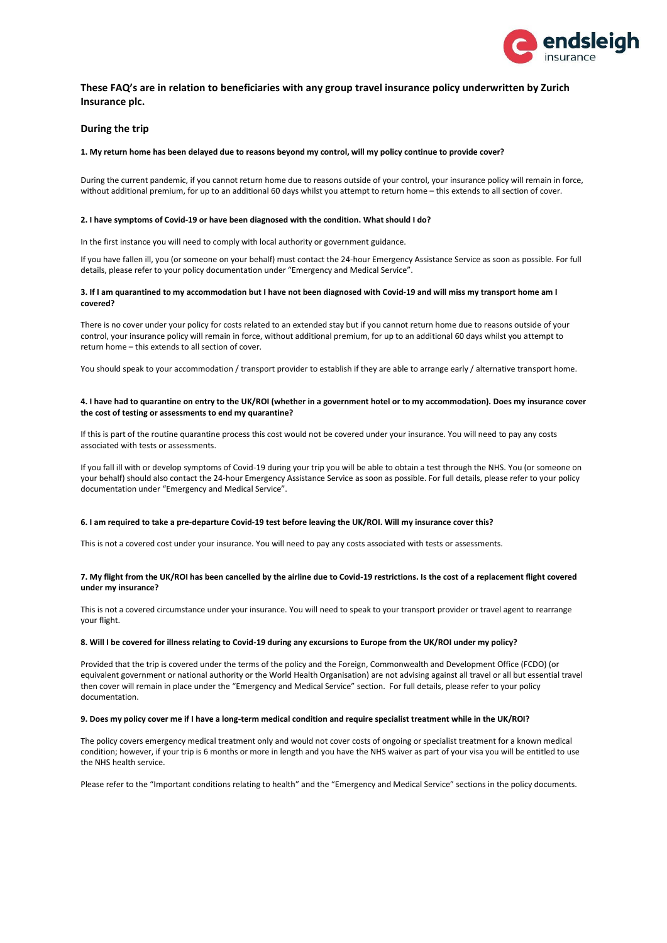

# **These FAQ's are in relation to beneficiaries with any group travel insurance policy underwritten by Zurich Insurance plc.**

# **During the trip**

### **1. My return home has been delayed due to reasons beyond my control, will my policy continue to provide cover?**

During the current pandemic, if you cannot return home due to reasons outside of your control, your insurance policy will remain in force, without additional premium, for up to an additional 60 days whilst you attempt to return home – this extends to all section of cover.

#### **2. I have symptoms of Covid-19 or have been diagnosed with the condition. What should I do?**

In the first instance you will need to comply with local authority or government guidance.

If you have fallen ill, you (or someone on your behalf) must contact the 24-hour Emergency Assistance Service as soon as possible. For full details, please refer to your policy documentation under "Emergency and Medical Service".

## **3. If I am quarantined to my accommodation but I have not been diagnosed with Covid-19 and will miss my transport home am I covered?**

There is no cover under your policy for costs related to an extended stay but if you cannot return home due to reasons outside of your control, your insurance policy will remain in force, without additional premium, for up to an additional 60 days whilst you attempt to return home – this extends to all section of cover.

You should speak to your accommodation / transport provider to establish if they are able to arrange early / alternative transport home.

## **4. I have had to quarantine on entry to the UK/ROI (whether in a government hotel or to my accommodation). Does my insurance cover the cost of testing or assessments to end my quarantine?**

If this is part of the routine quarantine process this cost would not be covered under your insurance. You will need to pay any costs associated with tests or assessments.

If you fall ill with or develop symptoms of Covid-19 during your trip you will be able to obtain a test through the NHS. You (or someone on your behalf) should also contact the 24-hour Emergency Assistance Service as soon as possible. For full details, please refer to your policy documentation under "Emergency and Medical Service".

### **6. I am required to take a pre-departure Covid-19 test before leaving the UK/ROI. Will my insurance cover this?**

This is not a covered cost under your insurance. You will need to pay any costs associated with tests or assessments.

### **7. My flight from the UK/ROI has been cancelled by the airline due to Covid-19 restrictions. Is the cost of a replacement flight covered under my insurance?**

This is not a covered circumstance under your insurance. You will need to speak to your transport provider or travel agent to rearrange your flight.

## **8. Will I be covered for illness relating to Covid-19 during any excursions to Europe from the UK/ROI under my policy?**

Provided that the trip is covered under the terms of the policy and the Foreign, Commonwealth and Development Office (FCDO) (or equivalent government or national authority or the World Health Organisation) are not advising against all travel or all but essential travel then cover will remain in place under the "Emergency and Medical Service" section. For full details, please refer to your policy documentation.

### **9. Does my policy cover me if I have a long-term medical condition and require specialist treatment while in the UK/ROI?**

The policy covers emergency medical treatment only and would not cover costs of ongoing or specialist treatment for a known medical condition; however, if your trip is 6 months or more in length and you have the NHS waiver as part of your visa you will be entitled to use the NHS health service.

Please refer to the "Important conditions relating to health" and the "Emergency and Medical Service" sections in the policy documents.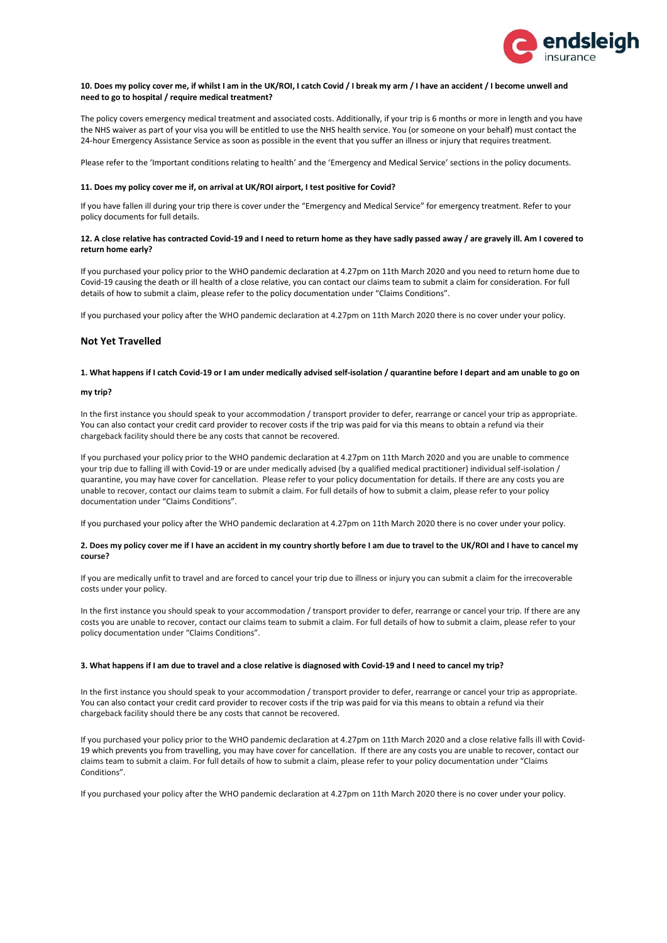

### **10. Does my policy cover me, if whilst I am in the UK/ROI, I catch Covid / I break my arm / I have an accident / I become unwell and need to go to hospital / require medical treatment?**

The policy covers emergency medical treatment and associated costs. Additionally, if your trip is 6 months or more in length and you have the NHS waiver as part of your visa you will be entitled to use the NHS health service. You (or someone on your behalf) must contact the 24-hour Emergency Assistance Service as soon as possible in the event that you suffer an illness or injury that requires treatment.

Please refer to the 'Important conditions relating to health' and the 'Emergency and Medical Service' sections in the policy documents.

### **11. Does my policy cover me if, on arrival at UK/ROI airport, I test positive for Covid?**

If you have fallen ill during your trip there is cover under the "Emergency and Medical Service" for emergency treatment. Refer to your policy documents for full details.

## **12. A close relative has contracted Covid-19 and I need to return home as they have sadly passed away / are gravely ill. Am I covered to return home early?**

If you purchased your policy prior to the WHO pandemic declaration at 4.27pm on 11th March 2020 and you need to return home due to Covid-19 causing the death or ill health of a close relative, you can contact our claims team to submit a claim for consideration. For full details of how to submit a claim, please refer to the policy documentation under "Claims Conditions".

If you purchased your policy after the WHO pandemic declaration at 4.27pm on 11th March 2020 there is no cover under your policy.

# **Not Yet Travelled**

## **1. What happens if I catch Covid-19 or I am under medically advised self-isolation / quarantine before I depart and am unable to go on**

### **my trip?**

In the first instance you should speak to your accommodation / transport provider to defer, rearrange or cancel your trip as appropriate. You can also contact your credit card provider to recover costs if the trip was paid for via this means to obtain a refund via their chargeback facility should there be any costs that cannot be recovered.

If you purchased your policy prior to the WHO pandemic declaration at 4.27pm on 11th March 2020 and you are unable to commence your trip due to falling ill with Covid-19 or are under medically advised (by a qualified medical practitioner) individual self-isolation / quarantine, you may have cover for cancellation. Please refer to your policy documentation for details. If there are any costs you are unable to recover, contact our claims team to submit a claim. For full details of how to submit a claim, please refer to your policy documentation under "Claims Conditions".

If you purchased your policy after the WHO pandemic declaration at 4.27pm on 11th March 2020 there is no cover under your policy.

## **2. Does my policy cover me if I have an accident in my country shortly before I am due to travel to the UK/ROI and I have to cancel my course?**

If you are medically unfit to travel and are forced to cancel your trip due to illness or injury you can submit a claim for the irrecoverable costs under your policy.

In the first instance you should speak to your accommodation / transport provider to defer, rearrange or cancel your trip. If there are any costs you are unable to recover, contact our claims team to submit a claim. For full details of how to submit a claim, please refer to your policy documentation under "Claims Conditions".

## **3. What happens if I am due to travel and a close relative is diagnosed with Covid-19 and I need to cancel my trip?**

In the first instance you should speak to your accommodation / transport provider to defer, rearrange or cancel your trip as appropriate. You can also contact your credit card provider to recover costs if the trip was paid for via this means to obtain a refund via their chargeback facility should there be any costs that cannot be recovered.

If you purchased your policy prior to the WHO pandemic declaration at 4.27pm on 11th March 2020 and a close relative falls ill with Covid-19 which prevents you from travelling, you may have cover for cancellation. If there are any costs you are unable to recover, contact our claims team to submit a claim. For full details of how to submit a claim, please refer to your policy documentation under "Claims Conditions".

If you purchased your policy after the WHO pandemic declaration at 4.27pm on 11th March 2020 there is no cover under your policy.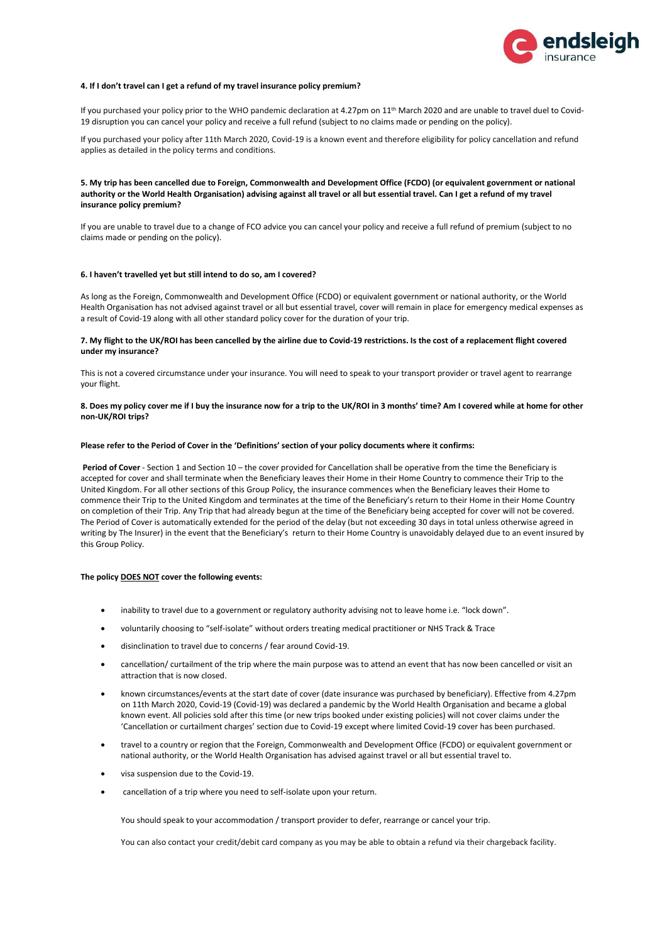

#### **4. If I don't travel can I get a refund of my travel insurance policy premium?**

If you purchased your policy prior to the WHO pandemic declaration at 4.27pm on  $11<sup>th</sup>$  March 2020 and are unable to travel duel to Covid-19 disruption you can cancel your policy and receive a full refund (subject to no claims made or pending on the policy).

If you purchased your policy after 11th March 2020, Covid-19 is a known event and therefore eligibility for policy cancellation and refund applies as detailed in the policy terms and conditions.

## **5. My trip has been cancelled due to Foreign, Commonwealth and Development Office (FCDO) (or equivalent government or national authority or the World Health Organisation) advising against all travel or all but essential travel. Can I get a refund of my travel insurance policy premium?**

If you are unable to travel due to a change of FCO advice you can cancel your policy and receive a full refund of premium (subject to no claims made or pending on the policy).

### **6. I haven't travelled yet but still intend to do so, am I covered?**

As long as the Foreign, Commonwealth and Development Office (FCDO) or equivalent government or national authority, or the World Health Organisation has not advised against travel or all but essential travel, cover will remain in place for emergency medical expenses as a result of Covid-19 along with all other standard policy cover for the duration of your trip.

## **7. My flight to the UK/ROI has been cancelled by the airline due to Covid-19 restrictions. Is the cost of a replacement flight covered under my insurance?**

This is not a covered circumstance under your insurance. You will need to speak to your transport provider or travel agent to rearrange your flight.

## **8. Does my policy cover me if I buy the insurance now for a trip to the UK/ROI in 3 months' time? Am I covered while at home for other non-UK/ROI trips?**

### **Please refer to the Period of Cover in the 'Definitions' section of your policy documents where it confirms:**

**Period of Cover** - Section 1 and Section 10 – the cover provided for Cancellation shall be operative from the time the Beneficiary is accepted for cover and shall terminate when the Beneficiary leaves their Home in their Home Country to commence their Trip to the United Kingdom. For all other sections of this Group Policy, the insurance commences when the Beneficiary leaves their Home to commence their Trip to the United Kingdom and terminates at the time of the Beneficiary's return to their Home in their Home Country on completion of their Trip. Any Trip that had already begun at the time of the Beneficiary being accepted for cover will not be covered. The Period of Cover is automatically extended for the period of the delay (but not exceeding 30 days in total unless otherwise agreed in writing by The Insurer) in the event that the Beneficiary's return to their Home Country is unavoidably delayed due to an event insured by this Group Policy.

## **The policy DOES NOT cover the following events:**

- inability to travel due to a government or regulatory authority advising not to leave home i.e. "lock down".
- voluntarily choosing to "self-isolate" without orders treating medical practitioner or NHS Track & Trace
- disinclination to travel due to concerns / fear around Covid-19.
- cancellation/ curtailment of the trip where the main purpose was to attend an event that has now been cancelled or visit an attraction that is now closed.
- known circumstances/events at the start date of cover (date insurance was purchased by beneficiary). Effective from 4.27pm on 11th March 2020, Covid-19 (Covid-19) was declared a pandemic by the World Health Organisation and became a global known event. All policies sold after this time (or new trips booked under existing policies) will not cover claims under the 'Cancellation or curtailment charges' section due to Covid-19 except where limited Covid-19 cover has been purchased.
- travel to a country or region that the Foreign, Commonwealth and Development Office (FCDO) or equivalent government or national authority, or the World Health Organisation has advised against travel or all but essential travel to.
- visa suspension due to the Covid-19.
- cancellation of a trip where you need to self-isolate upon your return.

You should speak to your accommodation / transport provider to defer, rearrange or cancel your trip.

You can also contact your credit/debit card company as you may be able to obtain a refund via their chargeback facility.